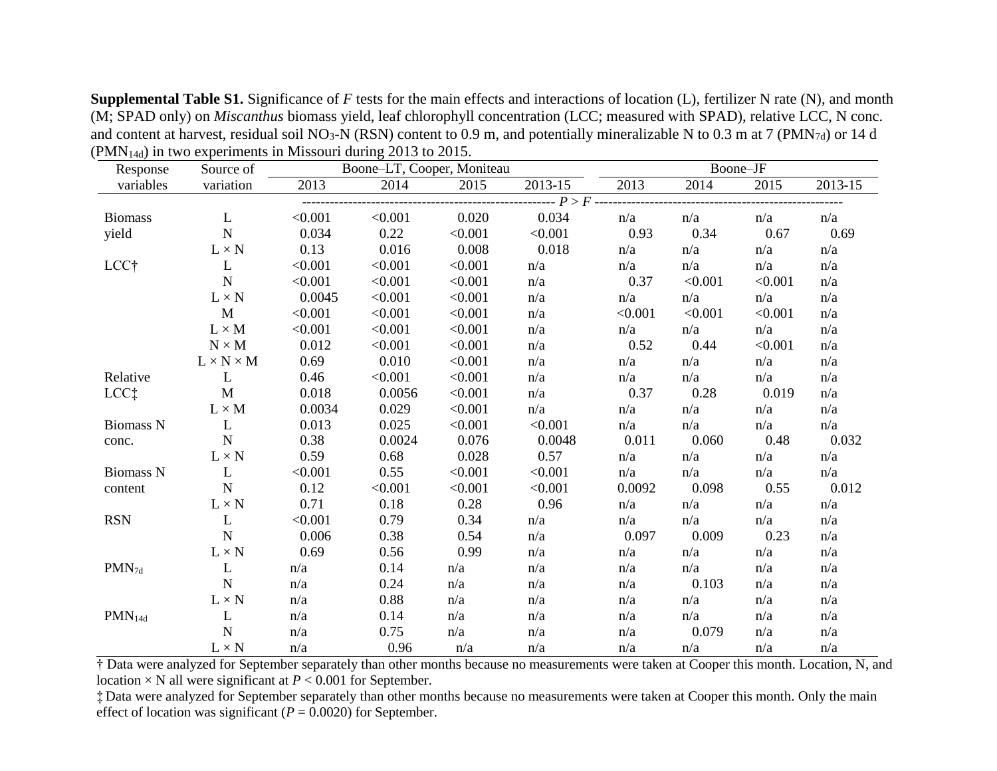**Supplemental Table S1.** Significance of *F* tests for the main effects and interactions of location (L), fertilizer N rate (N), and month (M; SPAD only) on *Miscanthus* biomass yield, leaf chlorophyll concentration (LCC; measured with SPAD), relative LCC, N conc. and content at harvest, residual soil NO<sub>3</sub>-N (RSN) content to 0.9 m, and potentially mineralizable N to 0.3 m at 7 (PMN<sub>7d</sub>) or 14 d  $(PMN<sub>14d</sub>)$  in two experiments in Missouri during 2013 to 2015.

| Response           | Source of             | Boone-LT, Cooper, Moniteau |         |         | Boone-JF                          |         |         |         |         |
|--------------------|-----------------------|----------------------------|---------|---------|-----------------------------------|---------|---------|---------|---------|
| variables          | variation             | 2013                       | 2014    | 2015    | 2013-15                           | 2013    | 2014    | 2015    | 2013-15 |
|                    |                       |                            |         |         | ------- $P > F$ ----------------- |         |         |         |         |
| <b>Biomass</b>     | $\mathbf{L}$          | < 0.001                    | < 0.001 | 0.020   | 0.034                             | n/a     | n/a     | n/a     | n/a     |
| yield              | ${\bf N}$             | 0.034                      | 0.22    | < 0.001 | < 0.001                           | 0.93    | 0.34    | 0.67    | 0.69    |
|                    | $L \times N$          | 0.13                       | 0.016   | 0.008   | 0.018                             | n/a     | n/a     | n/a     | n/a     |
| LCC†               | $\mathbf{L}$          | < 0.001                    | < 0.001 | < 0.001 | n/a                               | n/a     | n/a     | n/a     | n/a     |
|                    | ${\bf N}$             | < 0.001                    | < 0.001 | < 0.001 | n/a                               | 0.37    | < 0.001 | < 0.001 | n/a     |
|                    | $L \times N$          | 0.0045                     | < 0.001 | < 0.001 | n/a                               | n/a     | n/a     | n/a     | n/a     |
|                    | $\mathbf{M}$          | < 0.001                    | < 0.001 | < 0.001 | n/a                               | < 0.001 | < 0.001 | < 0.001 | n/a     |
|                    | $L \times M$          | < 0.001                    | < 0.001 | < 0.001 | n/a                               | n/a     | n/a     | n/a     | n/a     |
|                    | $N \times M$          | 0.012                      | < 0.001 | < 0.001 | n/a                               | 0.52    | 0.44    | < 0.001 | n/a     |
|                    | $L \times N \times M$ | 0.69                       | 0.010   | < 0.001 | n/a                               | n/a     | n/a     | n/a     | n/a     |
| Relative           | $\mathbf{L}$          | 0.46                       | < 0.001 | < 0.001 | n/a                               | n/a     | n/a     | n/a     | n/a     |
| $LCC+$             | M                     | 0.018                      | 0.0056  | < 0.001 | n/a                               | 0.37    | 0.28    | 0.019   | n/a     |
|                    | $L \times M$          | 0.0034                     | 0.029   | < 0.001 | n/a                               | n/a     | n/a     | n/a     | n/a     |
| <b>Biomass N</b>   | $\mathbf{L}$          | 0.013                      | 0.025   | < 0.001 | < 0.001                           | n/a     | n/a     | n/a     | n/a     |
| conc.              | $\mathbf N$           | 0.38                       | 0.0024  | 0.076   | 0.0048                            | 0.011   | 0.060   | 0.48    | 0.032   |
|                    | $L \times N$          | 0.59                       | 0.68    | 0.028   | 0.57                              | n/a     | n/a     | n/a     | n/a     |
| Biomass N          | $\mathbf{L}$          | < 0.001                    | 0.55    | < 0.001 | < 0.001                           | n/a     | n/a     | n/a     | n/a     |
| content            | $\mathbf N$           | 0.12                       | < 0.001 | < 0.001 | < 0.001                           | 0.0092  | 0.098   | 0.55    | 0.012   |
|                    | $L \times N$          | 0.71                       | 0.18    | 0.28    | 0.96                              | n/a     | n/a     | n/a     | n/a     |
| <b>RSN</b>         | L                     | < 0.001                    | 0.79    | 0.34    | n/a                               | n/a     | n/a     | n/a     | n/a     |
|                    | ${\bf N}$             | 0.006                      | 0.38    | 0.54    | n/a                               | 0.097   | 0.009   | 0.23    | n/a     |
|                    | $L \times N$          | 0.69                       | 0.56    | 0.99    | n/a                               | n/a     | n/a     | n/a     | n/a     |
| $PMN_{7d}$         | L                     | n/a                        | 0.14    | n/a     | n/a                               | n/a     | n/a     | n/a     | n/a     |
|                    | $\mathbf N$           | n/a                        | 0.24    | n/a     | n/a                               | n/a     | 0.103   | n/a     | n/a     |
|                    | $L \times N$          | n/a                        | 0.88    | n/a     | n/a                               | n/a     | n/a     | n/a     | n/a     |
| PMN <sub>14d</sub> | $\mathbf{L}$          | n/a                        | 0.14    | n/a     | n/a                               | n/a     | n/a     | n/a     | n/a     |
|                    | N                     | n/a                        | 0.75    | n/a     | n/a                               | n/a     | 0.079   | n/a     | n/a     |
|                    | $L \times N$          | n/a                        | 0.96    | n/a     | n/a                               | n/a     | n/a     | n/a     | n/a     |

† Data were analyzed for September separately than other months because no measurements were taken at Cooper this month. Location, N, and location  $\times$  N all were significant at  $P < 0.001$  for September.

‡ Data were analyzed for September separately than other months because no measurements were taken at Cooper this month. Only the main effect of location was significant ( $P = 0.0020$ ) for September.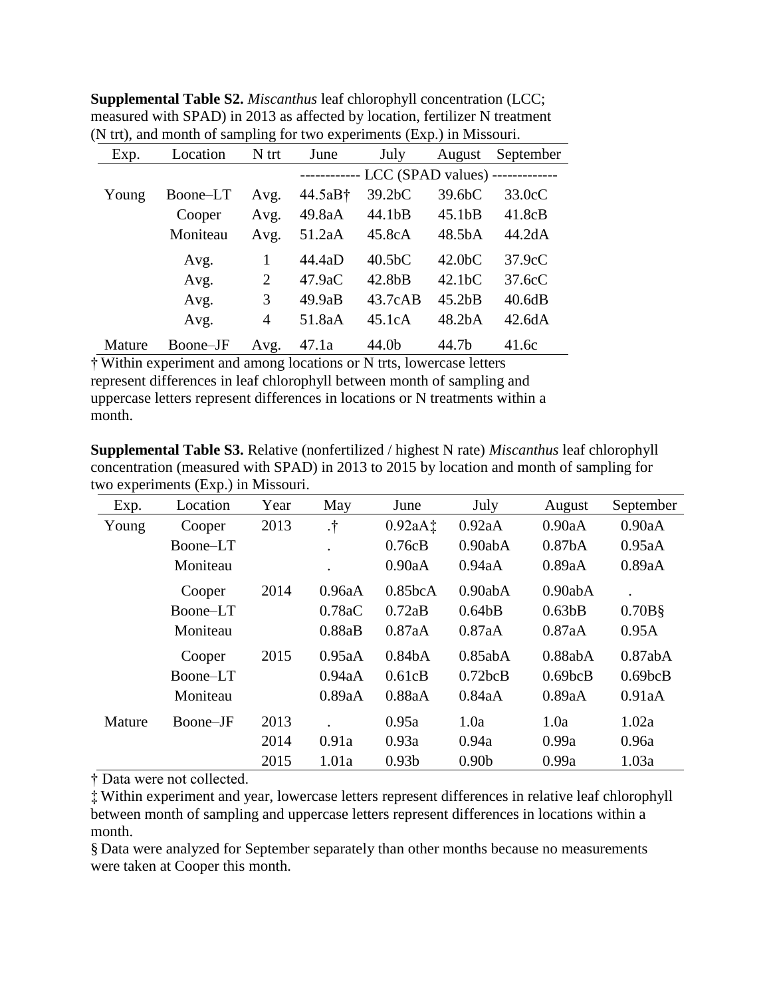| measured with SPAD) in 2013 as affected by location, fertilizer N treatment |          |       |                                              |                     |                     |                  |  |
|-----------------------------------------------------------------------------|----------|-------|----------------------------------------------|---------------------|---------------------|------------------|--|
| (N trt), and month of sampling for two experiments (Exp.) in Missouri.      |          |       |                                              |                     |                     |                  |  |
| Exp.                                                                        | Location | N trt | June                                         | July                | August              | September        |  |
|                                                                             |          |       | ------------ LCC (SPAD values) ------------- |                     |                     |                  |  |
| Young                                                                       | Boone-LT | Avg.  | 44.5aB <sup>†</sup>                          | 39.2bC              | 39.6bC              | $33.0 \text{cC}$ |  |
|                                                                             | Cooper   | Avg.  | 49.8aA                                       | 44.1 <sub>b</sub> B | 45.1 <sub>b</sub> B | 41.8cB           |  |
|                                                                             | Moniteau | Avg.  | 51.2aA                                       | 45.8cA              | 48.5bA              | 44.2dA           |  |
|                                                                             | Avg.     |       | 44.4aD                                       | 40.5 <sub>b</sub> C | 42.0 <sub>b</sub> C | 37.9cC           |  |
|                                                                             | Avg.     | 2     | 47.9aC                                       | 42.8 <sub>b</sub> B | 42.1 <sub>b</sub> C | 37.6cC           |  |

**Supplemental Table S2.** *Miscanthus* leaf chlorophyll concentration (LCC; measured with SPAD) in 2013 as affected by location, fertilizer N treatment

† Within experiment and among locations or N trts, lowercase letters represent differences in leaf chlorophyll between month of sampling and uppercase letters represent differences in locations or N treatments within a month.

Mature Boone–JF Avg. 47.1a 44.0b 44.7b 41.6c

**Supplemental Table S3.** Relative (nonfertilized / highest N rate) *Miscanthus* leaf chlorophyll concentration (measured with SPAD) in 2013 to 2015 by location and month of sampling for two experiments (Exp.) in Missouri.

Avg. 3 49.9aB 43.7cAB 45.2bB 40.6dB Avg. 4 51.8aA 45.1cA 48.2bA 42.6dA

| Exp.   | Location | Year | May       | June                | July              | August                   | September           |
|--------|----------|------|-----------|---------------------|-------------------|--------------------------|---------------------|
| Young  | Cooper   | 2013 | $\cdot$ † | 0.92aAt             | 0.92aA            | 0.90aA                   | 0.90aA              |
|        | Boone-LT |      |           | 0.76cB              | 0.90abA           | 0.87 <sub>b</sub> A      | 0.95aA              |
|        | Moniteau |      |           | 0.90aA              | 0.94aA            | 0.89aA                   | 0.89aA              |
|        |          |      |           |                     |                   |                          |                     |
|        | Cooper   | 2014 | 0.96aA    | 0.85bcA             | 0.90abA           | 0.90abA                  |                     |
|        | Boone-LT |      | 0.78aC    | 0.72aB              | 0.64bB            | 0.63 <sub>b</sub> B      | $0.70B\$            |
|        | Moniteau |      | 0.88aB    | 0.87aA              | 0.87aA            | 0.87aA                   | 0.95A               |
|        | Cooper   | 2015 | 0.95aA    | 0.84 <sub>b</sub> A | 0.85abA           | 0.88abA                  | 0.87abA             |
|        | Boone–LT |      | 0.94aA    | 0.61cB              | 0.72bcB           | $0.69$ <sub>b</sub> $CB$ | 0.69 <sub>bCB</sub> |
|        | Moniteau |      | 0.89aA    | 0.88aA              | 0.84aA            | 0.89aA                   | 0.91aA              |
| Mature | Boone–JF | 2013 |           | 0.95a               | 1.0a              | 1.0a                     | 1.02a               |
|        |          | 2014 | 0.91a     | 0.93a               | 0.94a             | 0.99a                    | 0.96a               |
|        |          | 2015 | 1.01a     | 0.93 <sub>b</sub>   | 0.90 <sub>b</sub> | 0.99a                    | 1.03a               |

† Data were not collected.

‡ Within experiment and year, lowercase letters represent differences in relative leaf chlorophyll between month of sampling and uppercase letters represent differences in locations within a month.

§ Data were analyzed for September separately than other months because no measurements were taken at Cooper this month.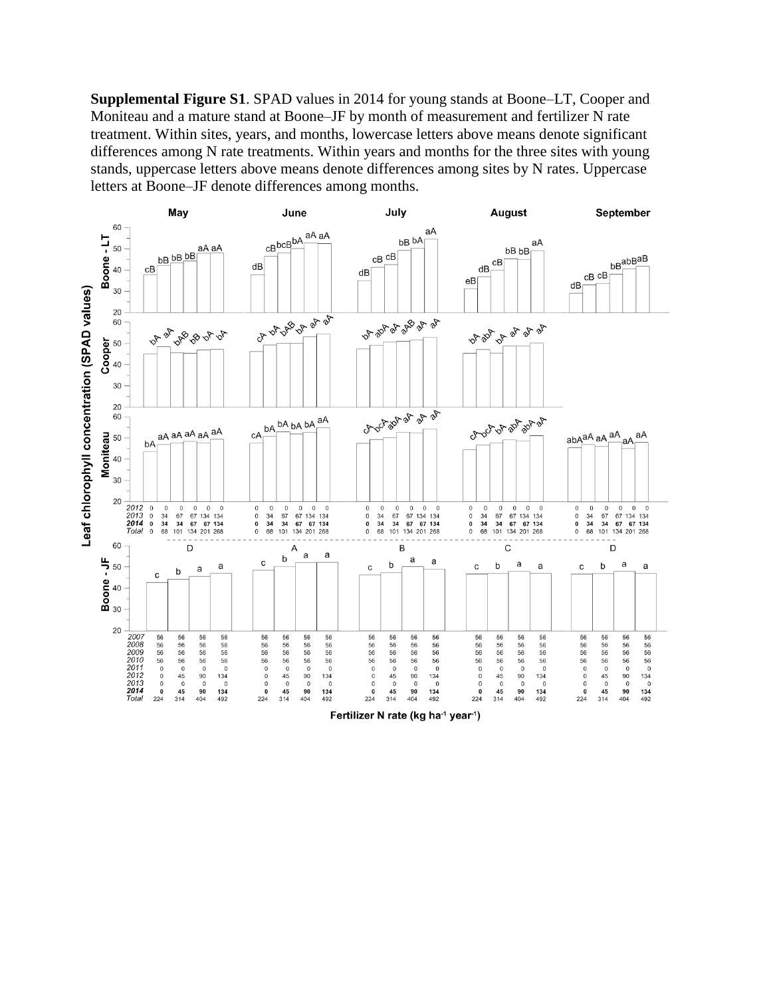**Supplemental Figure S1**. SPAD values in 2014 for young stands at Boone–LT, Cooper and Moniteau and a mature stand at Boone–JF by month of measurement and fertilizer N rate treatment. Within sites, years, and months, lowercase letters above means denote significant differences among N rate treatments. Within years and months for the three sites with young stands, uppercase letters above means denote differences among sites by N rates. Uppercase letters at Boone–JF denote differences among months.